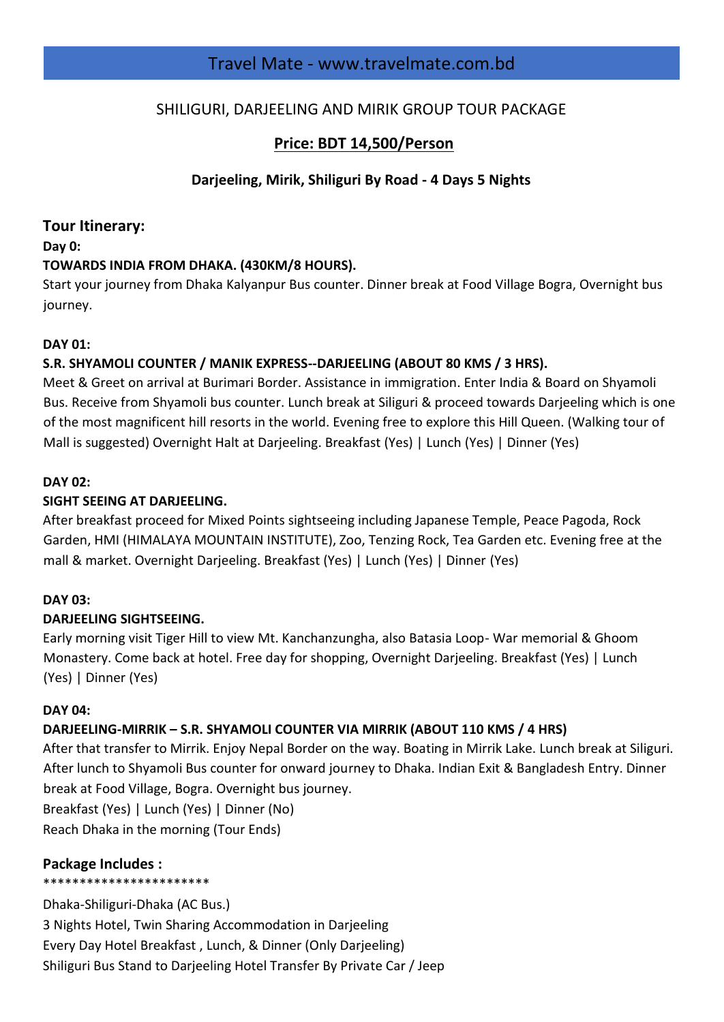# Travel Mate - www.travelmate.com.bd

# SHILIGURI, DARJEELING AND MIRIK GROUP TOUR PACKAGE

# **Price: BDT 14,500/Person**

# **Darjeeling, Mirik, Shiliguri By Road - 4 Days 5 Nights**

## **Tour Itinerary:**

#### **Day 0:**

## **TOWARDS INDIA FROM DHAKA. (430KM/8 HOURS).**

Start your journey from Dhaka Kalyanpur Bus counter. Dinner break at Food Village Bogra, Overnight bus journey.

## **DAY 01:**

## **S.R. SHYAMOLI COUNTER / MANIK EXPRESS--DARJEELING (ABOUT 80 KMS / 3 HRS).**

Meet & Greet on arrival at Burimari Border. Assistance in immigration. Enter India & Board on Shyamoli Bus. Receive from Shyamoli bus counter. Lunch break at Siliguri & proceed towards Darjeeling which is one of the most magnificent hill resorts in the world. Evening free to explore this Hill Queen. (Walking tour of Mall is suggested) Overnight Halt at Darjeeling. Breakfast (Yes) | Lunch (Yes) | Dinner (Yes)

#### **DAY 02:**

## **SIGHT SEEING AT DARJEELING.**

After breakfast proceed for Mixed Points sightseeing including Japanese Temple, Peace Pagoda, Rock Garden, HMI (HIMALAYA MOUNTAIN INSTITUTE), Zoo, Tenzing Rock, Tea Garden etc. Evening free at the mall & market. Overnight Darjeeling. Breakfast (Yes) | Lunch (Yes) | Dinner (Yes)

## **DAY 03:**

## **DARJEELING SIGHTSEEING.**

Early morning visit Tiger Hill to view Mt. Kanchanzungha, also Batasia Loop- War memorial & Ghoom Monastery. Come back at hotel. Free day for shopping, Overnight Darjeeling. Breakfast (Yes) | Lunch (Yes) | Dinner (Yes)

#### **DAY 04:**

## **DARJEELING-MIRRIK – S.R. SHYAMOLI COUNTER VIA MIRRIK (ABOUT 110 KMS / 4 HRS)**

After that transfer to Mirrik. Enjoy Nepal Border on the way. Boating in Mirrik Lake. Lunch break at Siliguri. After lunch to Shyamoli Bus counter for onward journey to Dhaka. Indian Exit & Bangladesh Entry. Dinner break at Food Village, Bogra. Overnight bus journey.

Breakfast (Yes) | Lunch (Yes) | Dinner (No) Reach Dhaka in the morning (Tour Ends)

## **Package Includes :**

#### \*\*\*\*\*\*\*\*\*\*\*\*\*\*\*\*\*\*\*\*\*\*\*

Dhaka-Shiliguri-Dhaka (AC Bus.) 3 Nights Hotel, Twin Sharing Accommodation in Darjeeling Every Day Hotel Breakfast , Lunch, & Dinner (Only Darjeeling) Shiliguri Bus Stand to Darjeeling Hotel Transfer By Private Car / Jeep